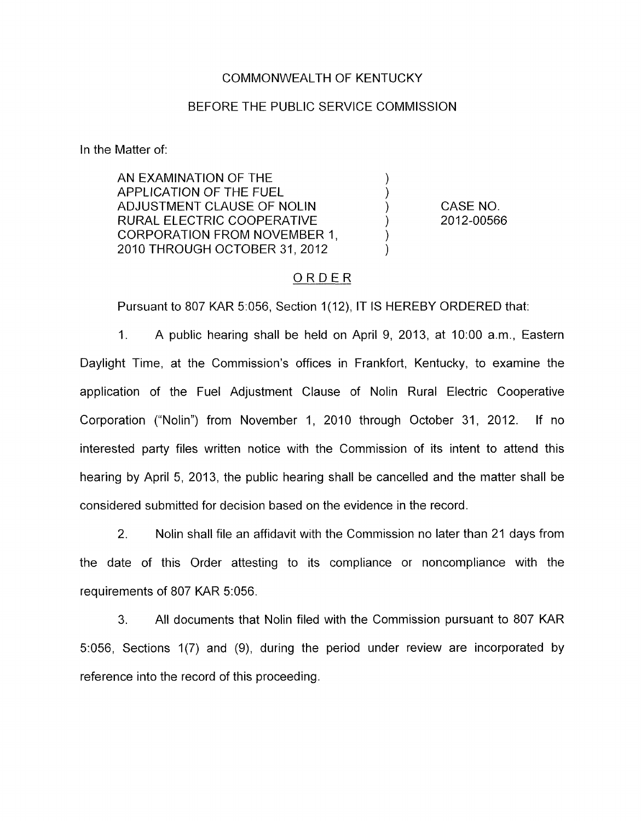### COMMONWEALTH OF KENTUCKY

#### BEFORE THE PUBLIC SERVICE COMMISSION

In the Matter of:

| AN EXAMINATION OF THE         |            |
|-------------------------------|------------|
| APPLICATION OF THE FUEL       |            |
| ADJUSTMENT CLAUSE OF NOLIN    | CASE NO.   |
| RURAL ELECTRIC COOPERATIVE    | 2012-00566 |
| CORPORATION FROM NOVEMBER 1.  |            |
| 2010 THROUGH OCTOBER 31, 2012 |            |
|                               |            |

## ORDER

Pursuant to 807 KAR 5:056, Section 1(12), IT IS HEREBY ORDERED that:

1. A public hearing shall be held on April 9, 2013, at 1O:OO a.m., Eastern Daylight Time, at the Commission's offices in Frankfort, Kentucky, to examine the application of the Fuel Adjustment Clause of Nolin Rural Electric Cooperative Corporation ("Nolin") from November 1, 2010 through October 31, 2012. If no interested party files written notice with the Commission of its intent to attend this hearing by April 5, 2013, the public hearing shall be cancelled and the matter shall be considered submitted for decision based on the evidence in the record.

2. Nolin shall file an affidavit with the Commission no later than 21 days from the date of this Order attesting to its compliance or noncompliance with the requirements of 807 KAR 5:056.

3. All documents that Nolin filed with the Commission pursuant to 807 KAR 5:056, Sections 1(7) and (9), during the period under review are incorporated by reference into the record of this proceeding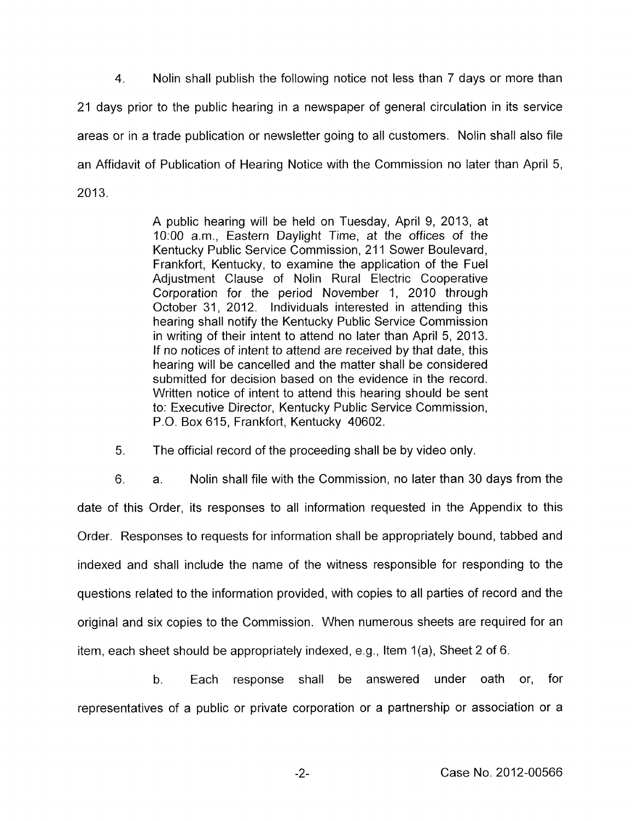4. Nolin shall publish the following notice not less than 7 days or more than 21 days prior to the public hearing in a newspaper of general circulation in its service areas or in a trade publication or newsletter going to all customers. Nolin shall also file an Affidavit of Publication of Hearing Notice with the Commission no later than April 5, 2013.

> A public hearing will be held on Tuesday, April 9, 2013, at 1O:OO a.m., Eastern Daylight Time, at the offices of the Kentucky Public Service Commission, 211 Sower Boulevard, Frankfort, Kentucky, to examine the application of the Fuel Adjustment Clause of Nolin Rural Electric Cooperative Corporation for the period November 1, 2010 through October 31, 2012. Individuals interested in attending this hearing shall notify the Kentucky Public Service Commission in writing of their intent to attend no later than April 5, 2013. If no notices *of* intent to attend are received by that date, this hearing will be cancelled and the matter shall be considered submitted for decision based on the evidence in the record. Written notice of intent to attend this hearing should be sent to: Executive Director, Kentucky Public Service Commission, P.O. Box 615, Frankfort, Kentucky 40602.

*5.* The official record of the proceeding shall be by video only

6. a. Nolin shall file with the Commission, no later than 30 days from the date of this Order, its responses to all information requested in the Appendix to this Order. Responses to requests for information shall be appropriately bound, tabbed and indexed and shall include the name of the witness responsible for responding to the questions related to the information provided, with copies to all parties of record and the original and six copies to the Commission. When numerous sheets are required for an item, each sheet should be appropriately indexed, e.g., Item  $1(a)$ , Sheet 2 of 6.

b. Each response shall be answered under oath or, for representatives of a public or private corporation or a partnership or association or a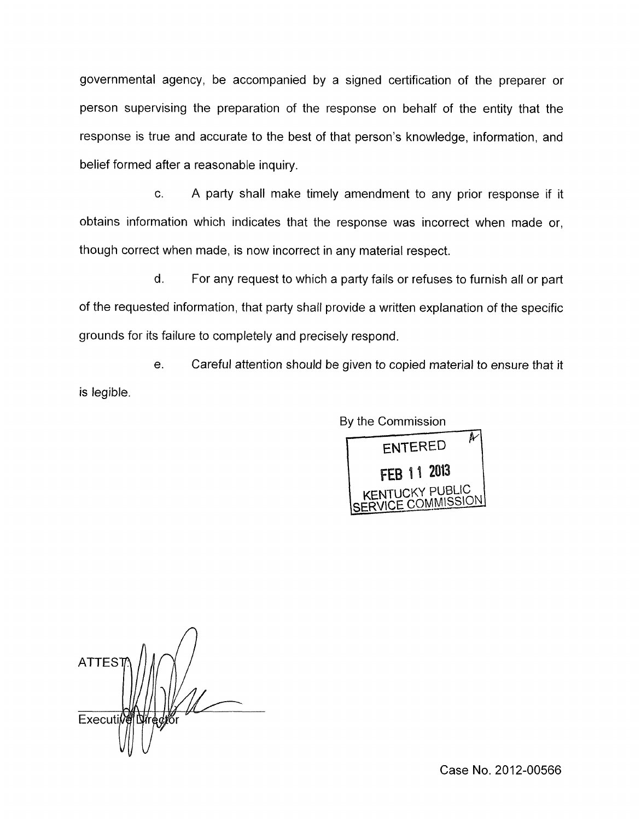governmental agency, be accompanied by a signed certification of the preparer or person supervising the preparation of the response on behalf of the entity that the response is true and accurate to the best of that person's knowledge, information, and belief formed after a reasonable inquiry.

c. A party shall make timely amendment to any prior response if it obtains information which indicates that the response was incorrect when made or, though correct when made, is now incorrect in any material respect.

d. For any request to which a party fails or refuses to furnish all or part of the requested information, that party shall provide a written explanation of the specific grounds for its failure to completely and precisely respond.

e. Careful attention should be given to copied material to ensure that it is legible.

> By the Commission A -1 **ENTERED** FEB 11 2013

> > ICKY PUBLIC

SERVICE COMMISSION

**ATTES** Executi

Case No. 2012-00566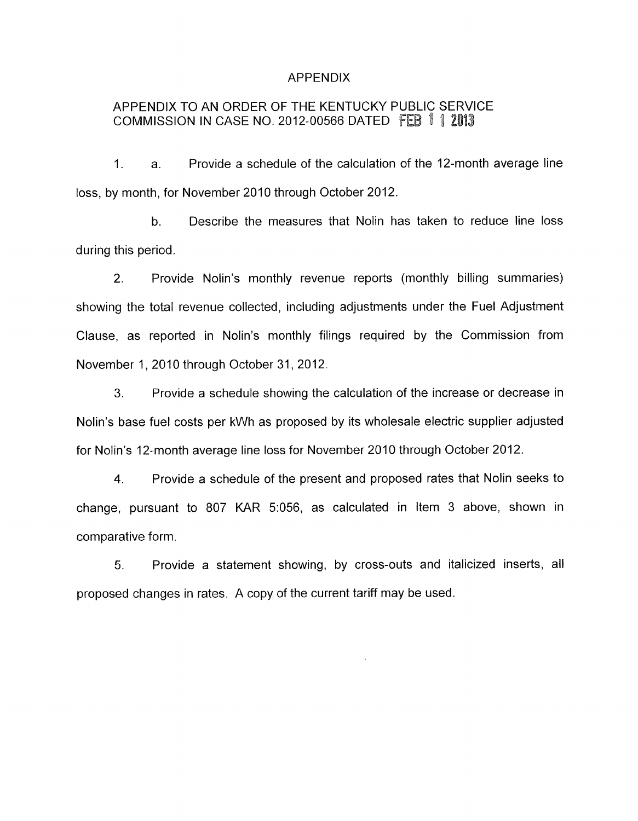### APPENDIX

# APPENDIX TO AN ORDER OF THE KENTUCKY PUBLIC SERVICE COMMISSION IN CASE NO. 2012-00566 DATED FEB  $112013$

1. a. Provide a schedule of the calculation of the 12-month average line loss, by month, for November 2010 through October 2012.

b. Describe the measures that Nolin has taken to reduce line loss during this period.

2. Provide Nalin's monthly revenue reports (monthly billing summaries) showing the total revenue collected, including adjustments under the Fuel Adjustment Clause, as reported in Nolin's monthly filings required by the Commission from November 1, 2010 through October 31, 2012.

3. Provide a schedule showing the calculation of the increase or decrease in Nolin's base fuel costs per kWh as proposed by its wholesale electric supplier adjusted for Nolin's 12-month average line loss for November 2010 through October 2012.

4. Provide a schedule of the present and proposed rates that Nolin seeks to change, pursuant to 807 KAR 5:056, as calculated in Item 3 above, shown in comparative form.

*5.* Provide a statement showing, by cross-outs and italicized inserts, all proposed changes in rates. A copy of the current tariff may be used.